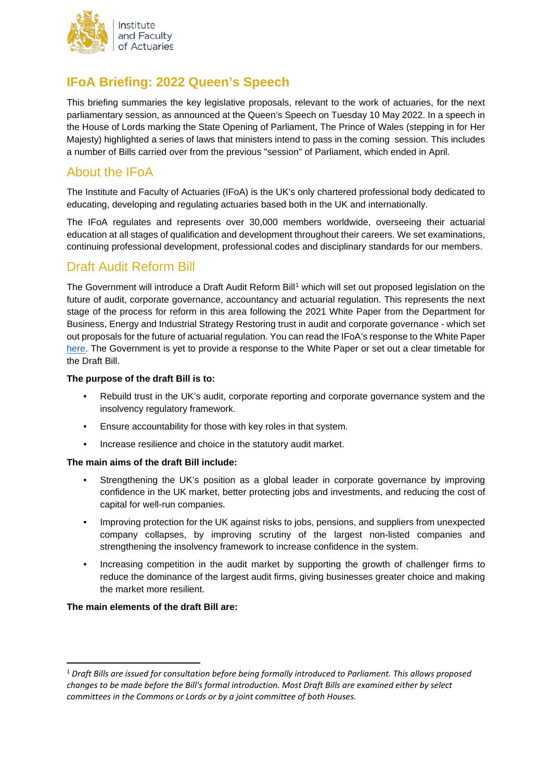

# **IFoA Briefing: 2022 Queen's Speech**

This briefing summaries the key legislative proposals, relevant to the work of actuaries, for the next parliamentary session, as announced at the Queen's Speech on Tuesday 10 May 2022. In a speech in the House of Lords marking the State Opening of Parliament, The Prince of Wales (stepping in for Her Majesty) highlighted a series of laws that ministers intend to pass in the coming session. This includes a number of Bills carried over from the previous "session" of Parliament, which ended in April.

## About the IFoA

The Institute and Faculty of Actuaries (IFoA) is the UK's only chartered professional body dedicated to educating, developing and regulating actuaries based both in the UK and internationally.

The IFoA regulates and represents over 30,000 members worldwide, overseeing their actuarial education at all stages of qualification and development throughout their careers. We set examinations, continuing professional development, professional codes and disciplinary standards for our members.

### Draft Audit Reform Bill

The Government will introduce a Draft Audit Reform Bill<sup>[1](#page-0-0)</sup> which will set out proposed legislation on the future of audit, corporate governance, accountancy and actuarial regulation. This represents the next stage of the process for reform in this area following the 2021 White Paper from the Department for Business, Energy and Industrial Strategy Restoring trust in audit and corporate governance - which set out proposals for the future of actuarial regulation. You can read the IFoA's response to the White Paper [here.](https://www.actuaries.org.uk/news-and-insights/public-affairs-and-policy/consultation-responses/2021/response-beis-consultation) The Government is yet to provide a response to the White Paper or set out a clear timetable for the Draft Bill.

#### **The purpose of the draft Bill is to:**

- Rebuild trust in the UK's audit, corporate reporting and corporate governance system and the insolvency regulatory framework.
- Ensure accountability for those with key roles in that system.
- Increase resilience and choice in the statutory audit market.

### **The main aims of the draft Bill include:**

- Strengthening the UK's position as a global leader in corporate governance by improving confidence in the UK market, better protecting jobs and investments, and reducing the cost of capital for well-run companies.
- Improving protection for the UK against risks to jobs, pensions, and suppliers from unexpected company collapses, by improving scrutiny of the largest non-listed companies and strengthening the insolvency framework to increase confidence in the system.
- Increasing competition in the audit market by supporting the growth of challenger firms to reduce the dominance of the largest audit firms, giving businesses greater choice and making the market more resilient.

#### **The main elements of the draft Bill are:**

<span id="page-0-0"></span> <sup>1</sup> *Draft Bills are issued for consultation before being formally introduced to Parliament. This allows proposed changes to be made before the Bill's formal introduction. Most Draft Bills are examined either by select committees in the Commons or Lords or by a joint committee of both Houses.*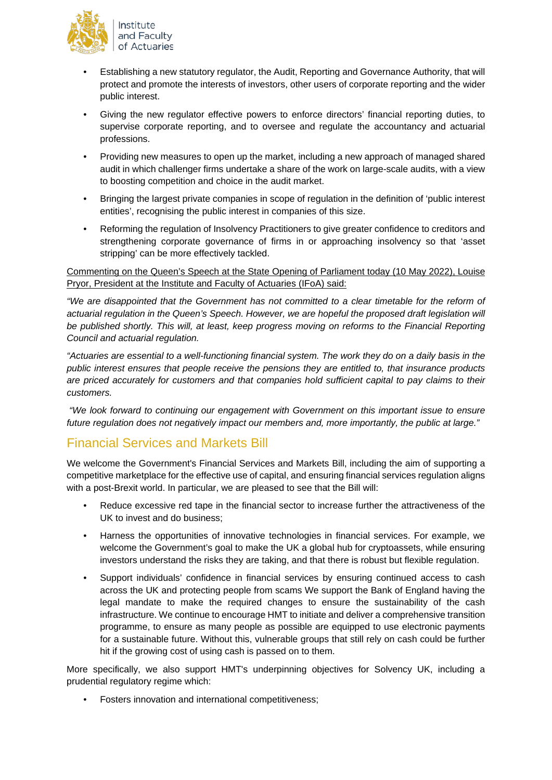

- Establishing a new statutory regulator, the Audit, Reporting and Governance Authority, that will protect and promote the interests of investors, other users of corporate reporting and the wider public interest.
- Giving the new regulator effective powers to enforce directors' financial reporting duties, to supervise corporate reporting, and to oversee and regulate the accountancy and actuarial professions.
- Providing new measures to open up the market, including a new approach of managed shared audit in which challenger firms undertake a share of the work on large-scale audits, with a view to boosting competition and choice in the audit market.
- Bringing the largest private companies in scope of regulation in the definition of 'public interest entities', recognising the public interest in companies of this size.
- Reforming the regulation of Insolvency Practitioners to give greater confidence to creditors and strengthening corporate governance of firms in or approaching insolvency so that 'asset stripping' can be more effectively tackled.

### Commenting on the Queen's Speech at the State Opening of Parliament today (10 May 2022), Louise Pryor, President at the Institute and Faculty of Actuaries (IFoA) said:

*"We are disappointed that the Government has not committed to a clear timetable for the reform of actuarial regulation in the Queen's Speech. However, we are hopeful the proposed draft legislation will be published shortly. This will, at least, keep progress moving on reforms to the Financial Reporting Council and actuarial regulation.*

*"Actuaries are essential to a well-functioning financial system. The work they do on a daily basis in the public interest ensures that people receive the pensions they are entitled to, that insurance products are priced accurately for customers and that companies hold sufficient capital to pay claims to their customers.*

*"We look forward to continuing our engagement with Government on this important issue to ensure future regulation does not negatively impact our members and, more importantly, the public at large."* 

## Financial Services and Markets Bill

We welcome the Government's Financial Services and Markets Bill, including the aim of supporting a competitive marketplace for the effective use of capital, and ensuring financial services regulation aligns with a post-Brexit world. In particular, we are pleased to see that the Bill will:

- Reduce excessive red tape in the financial sector to increase further the attractiveness of the UK to invest and do business;
- Harness the opportunities of innovative technologies in financial services. For example, we welcome the Government's goal to make the UK a global hub for cryptoassets, while ensuring investors understand the risks they are taking, and that there is robust but flexible regulation.
- Support individuals' confidence in financial services by ensuring continued access to cash across the UK and protecting people from scams We support the Bank of England having the legal mandate to make the required changes to ensure the sustainability of the cash infrastructure. We continue to encourage HMT to initiate and deliver a comprehensive transition programme, to ensure as many people as possible are equipped to use electronic payments for a sustainable future. Without this, vulnerable groups that still rely on cash could be further hit if the growing cost of using cash is passed on to them.

More specifically, we also support HMT's underpinning objectives for Solvency UK, including a prudential regulatory regime which:

• Fosters innovation and international competitiveness;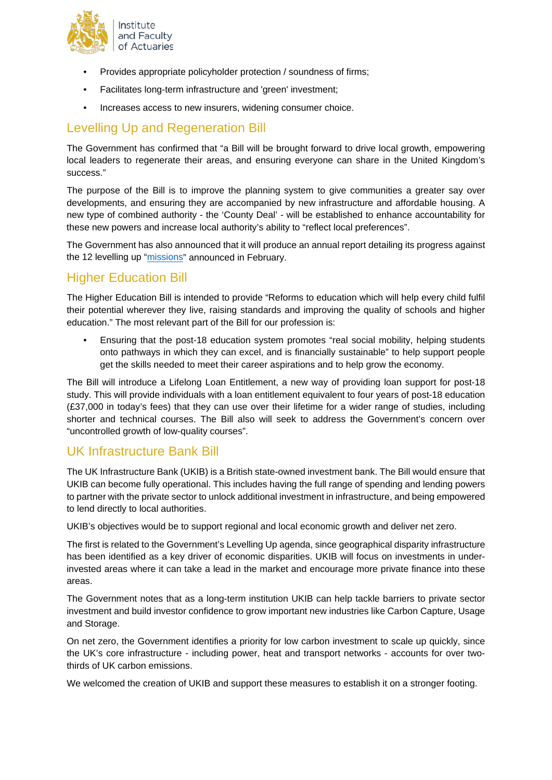

- Provides appropriate policyholder protection / soundness of firms;
- Facilitates long-term infrastructure and 'green' investment;
- Increases access to new insurers, widening consumer choice.

## Levelling Up and Regeneration Bill

The Government has confirmed that "a Bill will be brought forward to drive local growth, empowering local leaders to regenerate their areas, and ensuring everyone can share in the United Kingdom's success."

The purpose of the Bill is to improve the planning system to give communities a greater say over developments, and ensuring they are accompanied by new infrastructure and affordable housing. A new type of combined authority - the 'County Deal' - will be established to enhance accountability for these new powers and increase local authority's ability to "reflect local preferences".

The Government has also announced that it will produce an annual report detailing its progress against the 12 levelling up ["missions"](https://assets.publishing.service.gov.uk/government/uploads/system/uploads/attachment_data/file/1052046/Executive_Summary.pdf) announced in February.

## Higher Education Bill

The Higher Education Bill is intended to provide "Reforms to education which will help every child fulfil their potential wherever they live, raising standards and improving the quality of schools and higher education." The most relevant part of the Bill for our profession is:

• Ensuring that the post-18 education system promotes "real social mobility, helping students onto pathways in which they can excel, and is financially sustainable" to help support people get the skills needed to meet their career aspirations and to help grow the economy.

The Bill will introduce a Lifelong Loan Entitlement, a new way of providing loan support for post-18 study. This will provide individuals with a loan entitlement equivalent to four years of post-18 education (£37,000 in today's fees) that they can use over their lifetime for a wider range of studies, including shorter and technical courses. The Bill also will seek to address the Government's concern over "uncontrolled growth of low-quality courses".

## UK Infrastructure Bank Bill

The UK Infrastructure Bank (UKIB) is a British state-owned investment bank. The Bill would ensure that UKIB can become fully operational. This includes having the full range of spending and lending powers to partner with the private sector to unlock additional investment in infrastructure, and being empowered to lend directly to local authorities.

UKIB's objectives would be to support regional and local economic growth and deliver net zero.

The first is related to the Government's Levelling Up agenda, since geographical disparity infrastructure has been identified as a key driver of economic disparities. UKIB will focus on investments in underinvested areas where it can take a lead in the market and encourage more private finance into these areas.

The Government notes that as a long-term institution UKIB can help tackle barriers to private sector investment and build investor confidence to grow important new industries like Carbon Capture, Usage and Storage.

On net zero, the Government identifies a priority for low carbon investment to scale up quickly, since the UK's core infrastructure - including power, heat and transport networks - accounts for over twothirds of UK carbon emissions.

We welcomed the creation of UKIB and support these measures to establish it on a stronger footing.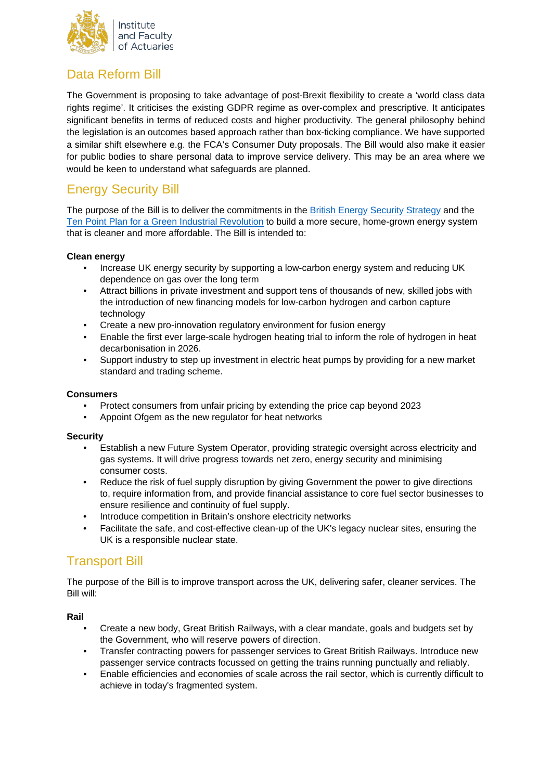

## Data Reform Bill

The Government is proposing to take advantage of post-Brexit flexibility to create a 'world class data rights regime'. It criticises the existing GDPR regime as over-complex and prescriptive. It anticipates significant benefits in terms of reduced costs and higher productivity. The general philosophy behind the legislation is an outcomes based approach rather than box-ticking compliance. We have supported a similar shift elsewhere e.g. the FCA's Consumer Duty proposals. The Bill would also make it easier for public bodies to share personal data to improve service delivery. This may be an area where we would be keen to understand what safeguards are planned.

# Energy Security Bill

The purpose of the Bill is to deliver the commitments in the [British Energy Security Strategy](https://www.gov.uk/government/publications/british-energy-security-strategy) and the [Ten Point Plan for a Green Industrial Revolution](https://www.gov.uk/government/publications/the-ten-point-plan-for-a-green-industrial-revolution) to build a more secure, home-grown energy system that is cleaner and more affordable. The Bill is intended to:

### **Clean energy**

- Increase UK energy security by supporting a low-carbon energy system and reducing UK dependence on gas over the long term
- Attract billions in private investment and support tens of thousands of new, skilled jobs with the introduction of new financing models for low-carbon hydrogen and carbon capture technology
- Create a new pro-innovation regulatory environment for fusion energy
- Enable the first ever large-scale hydrogen heating trial to inform the role of hydrogen in heat decarbonisation in 2026.
- Support industry to step up investment in electric heat pumps by providing for a new market standard and trading scheme.

### **Consumers**

- Protect consumers from unfair pricing by extending the price cap beyond 2023
- Appoint Ofgem as the new regulator for heat networks

#### **Security**

- Establish a new Future System Operator, providing strategic oversight across electricity and gas systems. It will drive progress towards net zero, energy security and minimising consumer costs.
- Reduce the risk of fuel supply disruption by giving Government the power to give directions to, require information from, and provide financial assistance to core fuel sector businesses to ensure resilience and continuity of fuel supply.
- Introduce competition in Britain's onshore electricity networks
- Facilitate the safe, and cost-effective clean-up of the UK's legacy nuclear sites, ensuring the UK is a responsible nuclear state.

## Transport Bill

The purpose of the Bill is to improve transport across the UK, delivering safer, cleaner services. The Bill will:

### **Rail**

- Create a new body, Great British Railways, with a clear mandate, goals and budgets set by the Government, who will reserve powers of direction.
- Transfer contracting powers for passenger services to Great British Railways. Introduce new passenger service contracts focussed on getting the trains running punctually and reliably.
- Enable efficiencies and economies of scale across the rail sector, which is currently difficult to achieve in today's fragmented system.